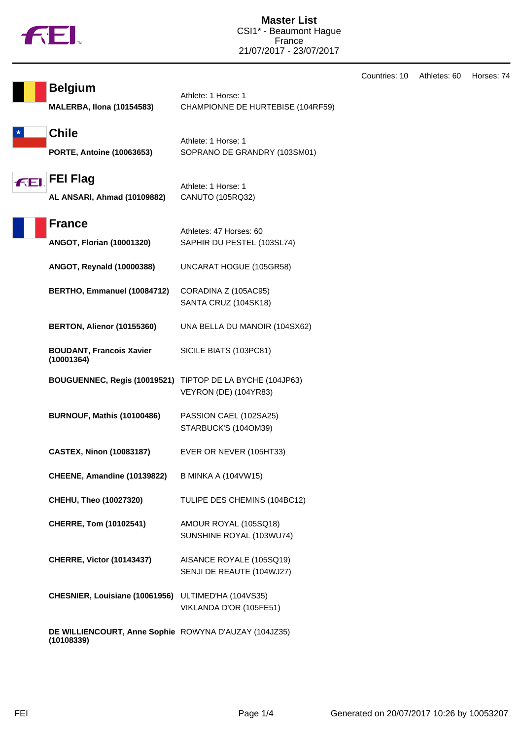

|            | <b>Belgium</b><br><b>MALERBA, Ilona (10154583)</b>        | Athlete: 1 Horse: 1<br>CHAMPIONNE DE HURTEBISE (104RF59) |
|------------|-----------------------------------------------------------|----------------------------------------------------------|
|            | <b>Chile</b><br><b>PORTE, Antoine (10063653)</b>          | Athlete: 1 Horse: 1<br>SOPRANO DE GRANDRY (103SM01)      |
| <b>FEI</b> | <b>FEI Flag</b><br>AL ANSARI, Ahmad (10109882)            | Athlete: 1 Horse: 1<br>CANUTO (105RQ32)                  |
|            | <b>France</b><br><b>ANGOT, Florian (10001320)</b>         | Athletes: 47 Horses: 60<br>SAPHIR DU PESTEL (103SL74)    |
|            | ANGOT, Reynald (10000388)                                 | UNCARAT HOGUE (105GR58)                                  |
|            | BERTHO, Emmanuel (10084712)                               | CORADINA Z (105AC95)<br>SANTA CRUZ (104SK18)             |
|            | <b>BERTON, Alienor (10155360)</b>                         | UNA BELLA DU MANOIR (104SX62)                            |
|            | <b>BOUDANT, Francois Xavier</b><br>(10001364)             | SICILE BIATS (103PC81)                                   |
|            | BOUGUENNEC, Regis (10019521) TIPTOP DE LA BYCHE (104JP63) | VEYRON (DE) (104YR83)                                    |
|            | BURNOUF, Mathis (10100486)                                | PASSION CAEL (102SA25)<br>STARBUCK'S (104OM39)           |
|            | <b>CASTEX, Ninon (10083187)</b>                           | EVER OR NEVER (105HT33)                                  |
|            | CHEENE, Amandine (10139822)                               | B MINKA A (104VW15)                                      |
|            | CHEHU, Theo (10027320)                                    | TULIPE DES CHEMINS (104BC12)                             |
|            | CHERRE, Tom (10102541)                                    | AMOUR ROYAL (105SQ18)<br>SUNSHINE ROYAL (103WU74)        |
|            | <b>CHERRE, Victor (10143437)</b>                          | AISANCE ROYALE (105SQ19)<br>SENJI DE REAUTE (104WJ27)    |
|            | CHESNIER, Louisiane (10061956) ULTIMED'HA (104VS35)       | VIKLANDA D'OR (105FE51)                                  |
|            | DE WILLIENCOURT, Anne Sophie ROWYNA D'AUZAY (104JZ35)     |                                                          |

**(10108339)**

Countries: 10 Athletes: 60 Horses: 74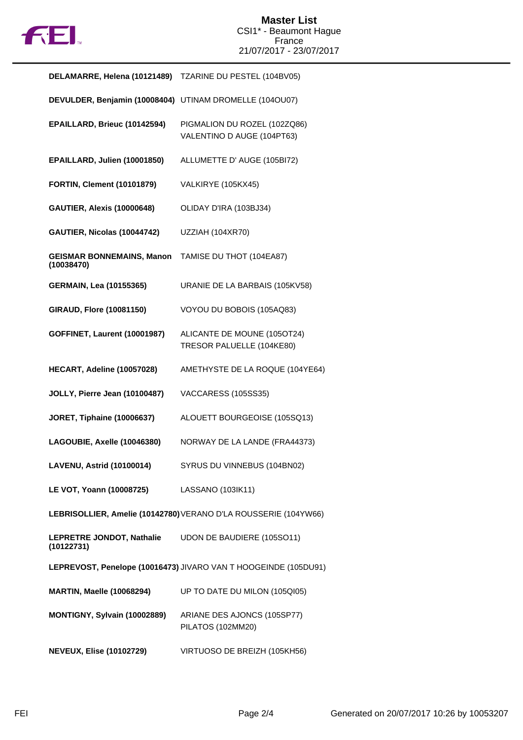

| DELAMARRE, Helena (10121489)                            | TZARINE DU PESTEL (104BV05)                                     |
|---------------------------------------------------------|-----------------------------------------------------------------|
| DEVULDER, Benjamin (10008404) UTINAM DROMELLE (104OU07) |                                                                 |
| EPAILLARD, Brieuc (10142594)                            | PIGMALION DU ROZEL (102ZQ86)<br>VALENTINO D AUGE (104PT63)      |
| EPAILLARD, Julien (10001850)                            | ALLUMETTE D' AUGE (105BI72)                                     |
| <b>FORTIN, Clement (10101879)</b>                       | VALKIRYE (105KX45)                                              |
| <b>GAUTIER, Alexis (10000648)</b>                       | OLIDAY D'IRA (103BJ34)                                          |
| GAUTIER, Nicolas (10044742)                             | UZZIAH (104XR70)                                                |
| <b>GEISMAR BONNEMAINS, Manon</b><br>(10038470)          | TAMISE DU THOT (104EA87)                                        |
| <b>GERMAIN, Lea (10155365)</b>                          | URANIE DE LA BARBAIS (105KV58)                                  |
| <b>GIRAUD, Flore (10081150)</b>                         | VOYOU DU BOBOIS (105AQ83)                                       |
| <b>GOFFINET, Laurent (10001987)</b>                     | ALICANTE DE MOUNE (105OT24)<br>TRESOR PALUELLE (104KE80)        |
| HECART, Adeline (10057028)                              | AMETHYSTE DE LA ROQUE (104YE64)                                 |
| JOLLY, Pierre Jean (10100487)                           | VACCARESS (105SS35)                                             |
| <b>JORET, Tiphaine (10006637)</b>                       | ALOUETT BOURGEOISE (105SQ13)                                    |
| LAGOUBIE, Axelle (10046380)                             | NORWAY DE LA LANDE (FRA44373)                                   |
| LAVENU, Astrid (10100014)                               | SYRUS DU VINNEBUS (104BN02)                                     |
| LE VOT, Yoann (10008725)                                | LASSANO (103IK11)                                               |
|                                                         | LEBRISOLLIER, Amelie (10142780) VERANO D'LA ROUSSERIE (104YW66) |
| LEPRETRE JONDOT, Nathalie<br>(10122731)                 | UDON DE BAUDIERE (105SO11)                                      |
|                                                         | LEPREVOST, Penelope (10016473) JIVARO VAN T HOOGEINDE (105DU91) |
| <b>MARTIN, Maelle (10068294)</b>                        | UP TO DATE DU MILON (105QI05)                                   |
| MONTIGNY, Sylvain (10002889)                            | ARIANE DES AJONCS (105SP77)<br>PILATOS (102MM20)                |
| <b>NEVEUX, Elise (10102729)</b>                         | VIRTUOSO DE BREIZH (105KH56)                                    |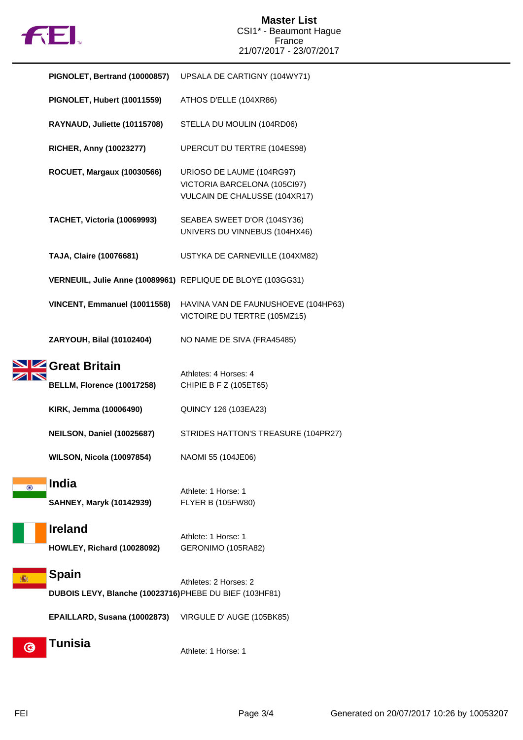

|          | PIGNOLET, Bertrand (10000857)                                           | UPSALA DE CARTIGNY (104WY71)                                                               |
|----------|-------------------------------------------------------------------------|--------------------------------------------------------------------------------------------|
|          | PIGNOLET, Hubert (10011559)                                             | ATHOS D'ELLE (104XR86)                                                                     |
|          | RAYNAUD, Juliette (10115708)                                            | STELLA DU MOULIN (104RD06)                                                                 |
|          | <b>RICHER, Anny (10023277)</b>                                          | UPERCUT DU TERTRE (104ES98)                                                                |
|          | <b>ROCUET, Margaux (10030566)</b>                                       | URIOSO DE LAUME (104RG97)<br>VICTORIA BARCELONA (105Cl97)<br>VULCAIN DE CHALUSSE (104XR17) |
|          | TACHET, Victoria (10069993)                                             | SEABEA SWEET D'OR (104SY36)<br>UNIVERS DU VINNEBUS (104HX46)                               |
|          | TAJA, Claire (10076681)                                                 | USTYKA DE CARNEVILLE (104XM82)                                                             |
|          | VERNEUIL, Julie Anne (10089961) REPLIQUE DE BLOYE (103GG31)             |                                                                                            |
|          | VINCENT, Emmanuel (10011558)                                            | HAVINA VAN DE FAUNUSHOEVE (104HP63)<br>VICTOIRE DU TERTRE (105MZ15)                        |
|          | ZARYOUH, Bilal (10102404)                                               | NO NAME DE SIVA (FRA45485)                                                                 |
|          | Great Britain                                                           |                                                                                            |
|          | <b>BELLM, Florence (10017258)</b>                                       | Athletes: 4 Horses: 4<br>CHIPIE B F Z (105ET65)                                            |
|          | KIRK, Jemma (10006490)                                                  | <b>QUINCY 126 (103EA23)</b>                                                                |
|          | NEILSON, Daniel (10025687)                                              | STRIDES HATTON'S TREASURE (104PR27)                                                        |
|          | <b>WILSON, Nicola (10097854)</b>                                        | NAOMI 55 (104JE06)                                                                         |
|          | <b>India</b><br><b>SAHNEY, Maryk (10142939)</b>                         | Athlete: 1 Horse: 1<br><b>FLYER B (105FW80)</b>                                            |
|          | <b>Ireland</b><br><b>HOWLEY, Richard (10028092)</b>                     | Athlete: 1 Horse: 1<br>GERONIMO (105RA82)                                                  |
|          | <b>Spain</b><br>DUBOIS LEVY, Blanche (10023716) PHEBE DU BIEF (103HF81) | Athletes: 2 Horses: 2                                                                      |
|          | EPAILLARD, Susana (10002873)                                            | VIRGULE D' AUGE (105BK85)                                                                  |
| $\bf{G}$ | <b>Tunisia</b>                                                          | Athlete: 1 Horse: 1                                                                        |

 $\overline{\phantom{a}}$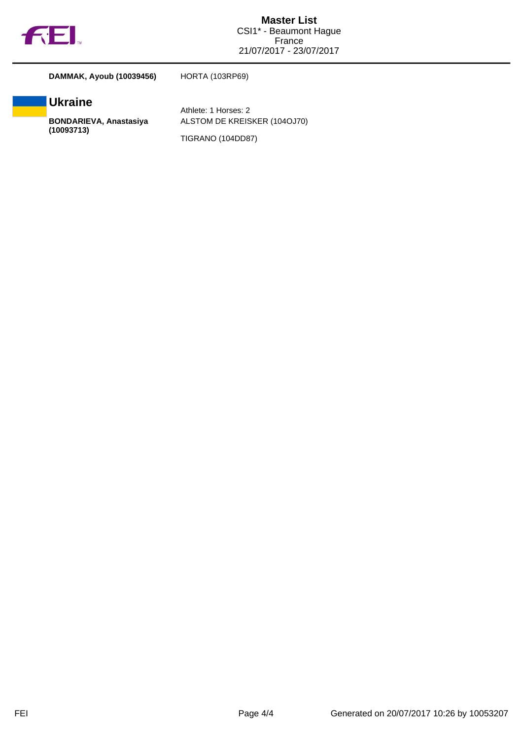

**DAMMAK, Ayoub (10039456)** HORTA (103RP69)

## **Ukraine**

**BONDARIEVA, Anastasiya (10093713)**

Athlete: 1 Horses: 2 ALSTOM DE KREISKER (104OJ70) TIGRANO (104DD87)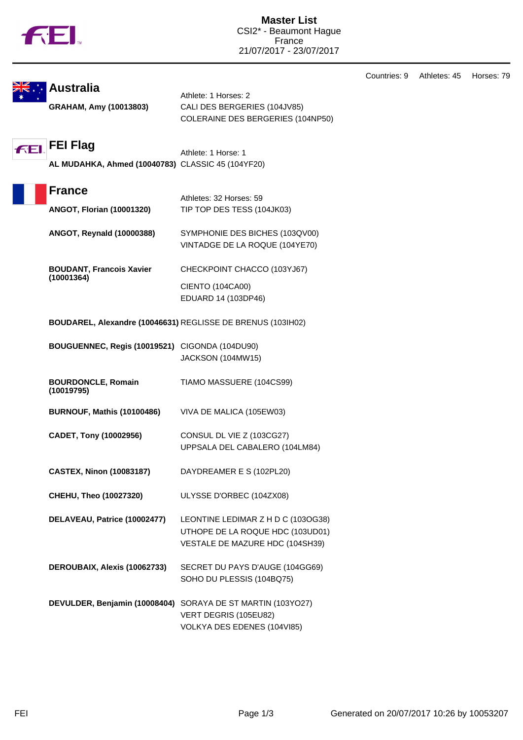|                                                   |                                                                                      | Countries: 9 | Athletes: 45 | Horses: 79 |
|---------------------------------------------------|--------------------------------------------------------------------------------------|--------------|--------------|------------|
| <b>Australia</b>                                  | Athlete: 1 Horses: 2                                                                 |              |              |            |
| GRAHAM, Amy (10013803)                            | CALI DES BERGERIES (104JV85)                                                         |              |              |            |
|                                                   | COLERAINE DES BERGERIES (104NP50)                                                    |              |              |            |
| <b>FEI Flag</b><br>FEI                            |                                                                                      |              |              |            |
| AL MUDAHKA, Ahmed (10040783) CLASSIC 45 (104YF20) | Athlete: 1 Horse: 1                                                                  |              |              |            |
|                                                   |                                                                                      |              |              |            |
| <b>France</b>                                     | Athletes: 32 Horses: 59                                                              |              |              |            |
| <b>ANGOT, Florian (10001320)</b>                  | TIP TOP DES TESS (104JK03)                                                           |              |              |            |
|                                                   |                                                                                      |              |              |            |
| ANGOT, Reynald (10000388)                         | SYMPHONIE DES BICHES (103QV00)                                                       |              |              |            |
|                                                   | VINTADGE DE LA ROQUE (104YE70)                                                       |              |              |            |
| <b>BOUDANT, Francois Xavier</b><br>(10001364)     | CHECKPOINT CHACCO (103YJ67)                                                          |              |              |            |
|                                                   | CIENTO (104CA00)                                                                     |              |              |            |
|                                                   | EDUARD 14 (103DP46)                                                                  |              |              |            |
|                                                   | BOUDAREL, Alexandre (10046631) REGLISSE DE BRENUS (103IH02)                          |              |              |            |
| BOUGUENNEC, Regis (10019521) CIGONDA (104DU90)    |                                                                                      |              |              |            |
|                                                   | JACKSON (104MW15)                                                                    |              |              |            |
| <b>BOURDONCLE, Romain</b><br>(10019795)           | TIAMO MASSUERE (104CS99)                                                             |              |              |            |
| <b>BURNOUF, Mathis (10100486)</b>                 | VIVA DE MALICA (105EW03)                                                             |              |              |            |
| CADET, Tony (10002956)                            | CONSUL DL VIE Z (103CG27)                                                            |              |              |            |
|                                                   | UPPSALA DEL CABALERO (104LM84)                                                       |              |              |            |
| <b>CASTEX, Ninon (10083187)</b>                   | DAYDREAMER E S (102PL20)                                                             |              |              |            |
| CHEHU, Theo (10027320)                            | ULYSSE D'ORBEC (104ZX08)                                                             |              |              |            |
| DELAVEAU, Patrice (10002477)                      | LEONTINE LEDIMAR Z H D C (103OG38)                                                   |              |              |            |
|                                                   | UTHOPE DE LA ROQUE HDC (103UD01)                                                     |              |              |            |
|                                                   | VESTALE DE MAZURE HDC (104SH39)                                                      |              |              |            |
| DEROUBAIX, Alexis (10062733)                      | SECRET DU PAYS D'AUGE (104GG69)                                                      |              |              |            |
|                                                   | SOHO DU PLESSIS (104BQ75)                                                            |              |              |            |
|                                                   |                                                                                      |              |              |            |
|                                                   | DEVULDER, Benjamin (10008404) SORAYA DE ST MARTIN (103YO27)<br>VERT DEGRIS (105EU82) |              |              |            |
|                                                   | VOLKYA DES EDENES (104VI85)                                                          |              |              |            |
|                                                   |                                                                                      |              |              |            |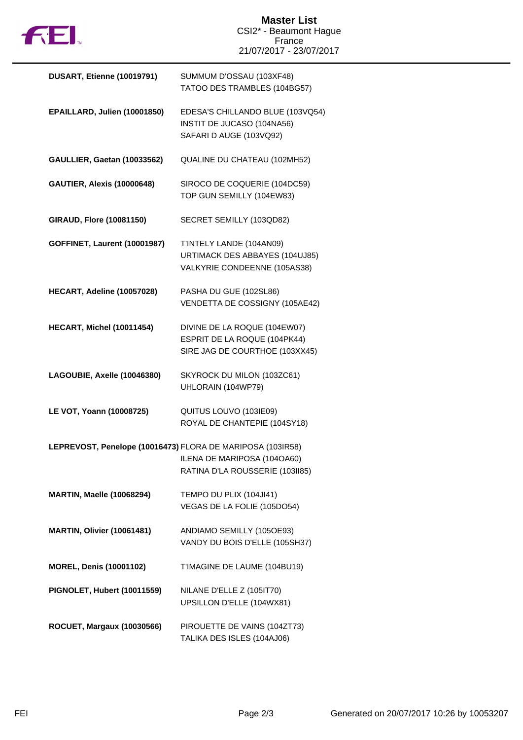

| DUSART, Etienne (10019791)                                 | SUMMUM D'OSSAU (103XF48)<br>TATOO DES TRAMBLES (104BG57)                                       |
|------------------------------------------------------------|------------------------------------------------------------------------------------------------|
| EPAILLARD, Julien (10001850)                               | EDESA'S CHILLANDO BLUE (103VQ54)<br>INSTIT DE JUCASO (104NA56)<br>SAFARI D AUGE (103VQ92)      |
| GAULLIER, Gaetan (10033562)                                | QUALINE DU CHATEAU (102MH52)                                                                   |
| <b>GAUTIER, Alexis (10000648)</b>                          | SIROCO DE COQUERIE (104DC59)<br>TOP GUN SEMILLY (104EW83)                                      |
| <b>GIRAUD, Flore (10081150)</b>                            | SECRET SEMILLY (103QD82)                                                                       |
| <b>GOFFINET, Laurent (10001987)</b>                        | T'INTELY LANDE (104AN09)<br>URTIMACK DES ABBAYES (104UJ85)<br>VALKYRIE CONDEENNE (105AS38)     |
| HECART, Adeline (10057028)                                 | PASHA DU GUE (102SL86)<br>VENDETTA DE COSSIGNY (105AE42)                                       |
| HECART, Michel (10011454)                                  | DIVINE DE LA ROQUE (104EW07)<br>ESPRIT DE LA ROQUE (104PK44)<br>SIRE JAG DE COURTHOE (103XX45) |
| LAGOUBIE, Axelle (10046380)                                | SKYROCK DU MILON (103ZC61)<br>UHLORAIN (104WP79)                                               |
| LE VOT, Yoann (10008725)                                   | QUITUS LOUVO (103IE09)<br>ROYAL DE CHANTEPIE (104SY18)                                         |
| LEPREVOST, Penelope (10016473) FLORA DE MARIPOSA (103IR58) | ILENA DE MARIPOSA (104OA60)<br>RATINA D'LA ROUSSERIE (103II85)                                 |
| <b>MARTIN, Maelle (10068294)</b>                           | TEMPO DU PLIX (104JI41)<br>VEGAS DE LA FOLIE (105DO54)                                         |
| <b>MARTIN, Olivier (10061481)</b>                          | ANDIAMO SEMILLY (105OE93)<br>VANDY DU BOIS D'ELLE (105SH37)                                    |
| <b>MOREL, Denis (10001102)</b>                             | T'IMAGINE DE LAUME (104BU19)                                                                   |
| PIGNOLET, Hubert (10011559)                                | NILANE D'ELLE Z (105IT70)<br>UPSILLON D'ELLE (104WX81)                                         |
| <b>ROCUET, Margaux (10030566)</b>                          | PIROUETTE DE VAINS (104ZT73)<br>TALIKA DES ISLES (104AJ06)                                     |